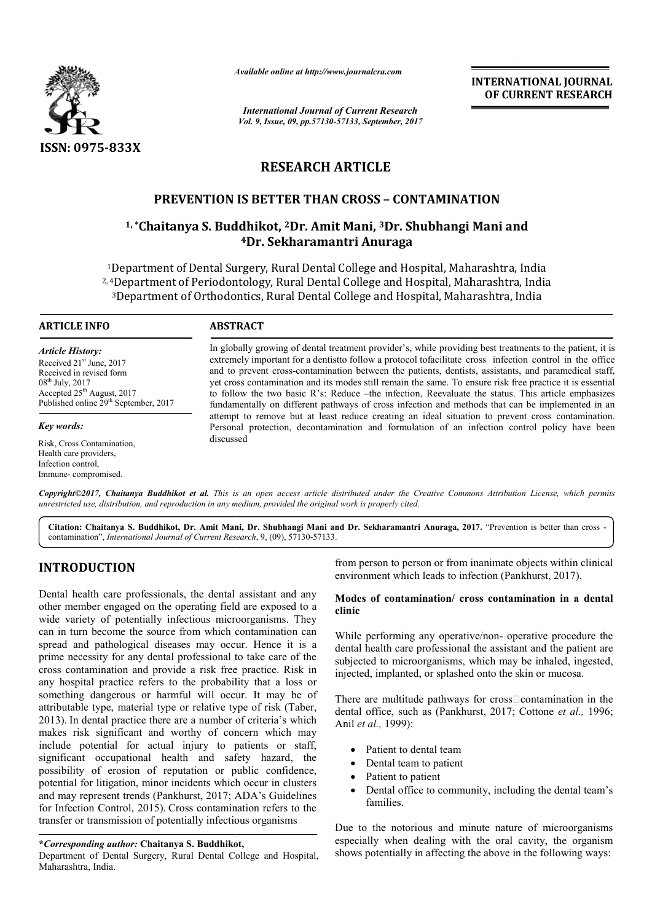

*Available online at http://www.journal http://www.journalcra.com*

*International Journal of Current Research Vol. 9, Issue, 09, pp.57130-57133, September, 2017* **INTERNATIONAL JOURNAL OF CURRENT RESEARCH** 

# **RESEARCH ARTICLE**

# **PREVENTION IS BETTER THAN CROSS – CONTAMINATION**

# **PREVENTION IS BETTER THAN CROSS - CONTAMINATION**<br><sup>1,</sup>\*Chaitanya S. Buddhikot, <sup>2</sup>Dr. Amit Mani, <sup>3</sup>Dr. Shubhangi Mani and **4Dr. Sekharamantri Anuraga**

<sup>1</sup>Department of Dental Surgery, Rural Dental College and Hospital, Maharashtra, India 2, 4Department of Periodontology, Rural Dental College and Hospital, Maharashtra, India Department of Dental Surgery, Rural Dental College and Hospital, Maharashtra, Indi<br>†Department of Periodontology, Rural Dental College and Hospital, Maharashtra, Ind<br>3Department of Orthodontics, Rural Dental College and Ho

#### **ARTICLE INFO ABSTRACT**

*Article History:* Received 21<sup>st</sup> June, 2017 Received in revised form  $08<sup>th</sup>$  July, 2017 Accepted 25<sup>th</sup> August, 2017 Published online 29<sup>th</sup> September, 2017

*Key words:*

Risk, Cross Contamination, Health care providers, Infection control, Immune- compromised.

In globally growing of dental treatment provider's, while providing best treatments to the patient, it is In globally growing of dental treatment provider's, while providing best treatments to the patient, it is extremely important for a dentistto follow a protocol tofacilitate cross infection control in the office and to prevent cross-contamination between the patients, dentists, assistants, and paramedical staff, yet cross contamination and its modes still remain the same. To ensure risk free practice it is essential to follow the two basic R's: Reduce –the infection, Reevaluate the st fundamentally on different pathways of cross infection and methods that can be implemented in an attempt to remove but at least reduce creating an ideal situation to prevent cross contamination. Personal protection, decontamination and formulation of an infection control policy have been discussed and to prevent cross-contamination between the patients, dentists, assistants, and paramedical staff, yet cross contamination and its modes still remain the same. To ensure risk free practice it is essential to follow the fundamentally on different pathways of cross infection and methods that can be implemented attempt to remove but at least reduce creating an ideal situation to prevent cross contamin<br>Personal protection, decontamination an **INTERNATIONAL JOURNAL FORM CONTROL CONTROL CONTROL CONTROL CONTROL CONTROL CONTROL CONTROL CONTROL CONTROL (September, 3017)<br>
CICLE CONTTAMINATION (Following Mani and Annuarga egge and Hospital, Maharashtra, India<br>
legge** 

*Copyright©2017, Chaitanya Buddhikot et al. This is an open access article distributed under the Creative Commons Att Attribution License, which permits unrestricted use, distribution, and reproduction in any medium, provided the original work is properly cited.*

Citation: Chaitanya S. Buddhikot, Dr. Amit Mani, Dr. Shubhangi Mani and Dr. Sekharamantri Anuraga, 2017. "Prevention is better than cross contamination", *International Journal of Current Research*, 9, (09), 57130-57133.

## **INTRODUCTION**

Dental health care professionals, the dental assistant and any other member engaged on the operating field are exposed to a wide variety of potentially infectious microorganisms. They can in turn become the source from which contamination can spread and pathological diseases may occur. Hence it is a prime necessity for any dental professional to take care of the cross contamination and provide a risk free practice. Risk in any hospital practice refers to the probability that a loss or something dangerous or harmful will occur. It may be of attributable type, material type or relative type of risk ( 2013). In dental practice there are a number of criteria's which makes risk significant and worthy of concern which may 2013). In dental practice there are a number of criteria's which makes risk significant and worthy of concern which may include potential for actual injury to patients or staff, significant occupational health and safety hazard, the possibility of erosion of reputation or public confidence, potential for litigation, minor incidents which occur in clusters and may represent trends (Pankhurst, 2017; ADA's Guidelines for Infection Control, 2015). Cross contamination refers to the transfer or transmission of potentially infectious organisms tion and provide a risk free practice. Risk in<br>actice refers to the probability that a loss or<br>erous or harmful will occur. It may be of<br>, material type or relative type of risk (Taber,

#### **\****Corresponding author:* **Chaitanya S. Buddhikot,**

Department of Dental Surgery, Rural Dental College and Hospital, Maharashtra, India.

from person to person or from inanimate objects within clinical environment which leads to infection (Pankhurst, 2017).

#### **Modes of contamination/ cross contamination in a dental in a clinic**

While performing any operative/non- operative procedure the dental health care professional the assistant and the patient are subjected to microorganisms, which may be inhaled, ingested, injected, implanted, or splashed onto the skin or mucosa. dental health care professional the assistant and the patient are subjected to microorganisms, which may be inhaled, ingested, injected, implanted, or splashed onto the skin or mucosa.<br>There are multitude pathways for cros

dental office, such as (Pankhurst, 2017; Cottone et al., 1996; Anil *et al.,* 1999):

- Patient to dental team
- Dental team to patient
- Patient to patient
- Dental office to community, including the dental team's families.

Due to the notorious and minute nature of microorganisms especially when dealing with the oral cavity, the organism shows potentially in affecting the above in the following ways: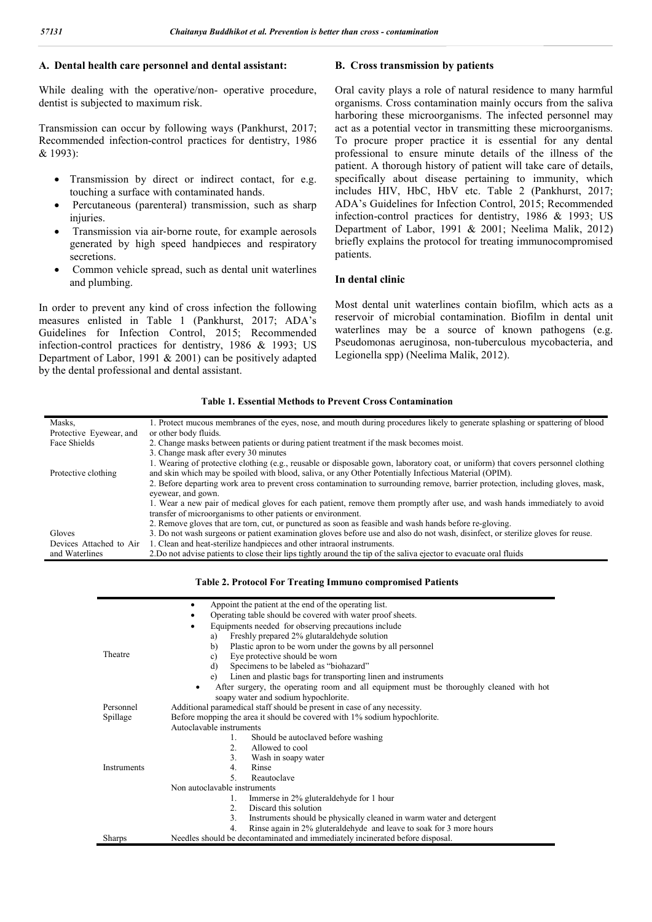#### **A. Dental health care personnel and dental assistant:**

While dealing with the operative/non- operative procedure, dentist is subjected to maximum risk.

Transmission can occur by following ways (Pankhurst, 2017; Recommended infection-control practices for dentistry, 1986 & 1993):

- Transmission by direct or indirect contact, for e.g. touching a surface with contaminated hands.
- Percutaneous (parenteral) transmission, such as sharp injuries.
- Transmission via air‐borne route, for example aerosols generated by high speed handpieces and respiratory secretions.
- Common vehicle spread, such as dental unit waterlines and plumbing.

In order to prevent any kind of cross infection the following measures enlisted in Table 1 (Pankhurst, 2017; ADA's Guidelines for Infection Control, 2015; Recommended infection-control practices for dentistry, 1986 & 1993; US Department of Labor, 1991 & 2001) can be positively adapted by the dental professional and dental assistant.

#### **B. Cross transmission by patients**

Oral cavity plays a role of natural residence to many harmful organisms. Cross contamination mainly occurs from the saliva harboring these microorganisms. The infected personnel may act as a potential vector in transmitting these microorganisms. To procure proper practice it is essential for any dental professional to ensure minute details of the illness of the patient. A thorough history of patient will take care of details, specifically about disease pertaining to immunity, which includes HIV, HbC, HbV etc. Table 2 (Pankhurst, 2017; ADA's Guidelines for Infection Control, 2015; Recommended infection-control practices for dentistry, 1986 & 1993; US Department of Labor, 1991 & 2001; Neelima Malik, 2012) briefly explains the protocol for treating immunocompromised patients.

#### **In dental clinic**

Most dental unit waterlines contain biofilm, which acts as a reservoir of microbial contamination. Biofilm in dental unit waterlines may be a source of known pathogens (e.g. Pseudomonas aeruginosa, non-tuberculous mycobacteria, and Legionella spp) (Neelima Malik, 2012).

#### **Table 1. Essential Methods to Prevent Cross Contamination**

| Masks.                  | 1. Protect mucous membranes of the eyes, nose, and mouth during procedures likely to generate splashing or spattering of blood                        |
|-------------------------|-------------------------------------------------------------------------------------------------------------------------------------------------------|
| Protective Eyewear, and | or other body fluids.                                                                                                                                 |
| Face Shields            | 2. Change masks between patients or during patient treatment if the mask becomes moist.                                                               |
|                         | 3. Change mask after every 30 minutes                                                                                                                 |
|                         | 1. Wearing of protective clothing (e.g., reusable or disposable gown, laboratory coat, or uniform) that covers personnel clothing                     |
| Protective clothing     | and skin which may be spoiled with blood, saliva, or any Other Potentially Infectious Material (OPIM).                                                |
|                         | 2. Before departing work area to prevent cross contamination to surrounding remove, barrier protection, including gloves, mask,<br>eyewear, and gown. |
|                         | 1. Wear a new pair of medical gloves for each patient, remove them promptly after use, and wash hands immediately to avoid                            |
|                         | transfer of microorganisms to other patients or environment.                                                                                          |
|                         | 2. Remove gloves that are torn, cut, or punctured as soon as feasible and wash hands before re-gloving.                                               |
| Gloves                  | 3. Do not wash surgeons or patient examination gloves before use and also do not wash, disinfect, or sterilize gloves for reuse.                      |
| Devices Attached to Air | 1. Clean and heat-sterilize handpieces and other intraoral instruments.                                                                               |
| and Waterlines          | 2. Do not advise patients to close their lips tightly around the tip of the saliva ejector to evacuate oral fluids                                    |

**Table 2. Protocol For Treating Immuno compromised Patients**

|               | Appoint the patient at the end of the operating list.                                                |
|---------------|------------------------------------------------------------------------------------------------------|
|               | Operating table should be covered with water proof sheets.                                           |
|               | Equipments needed for observing precautions include                                                  |
|               | Freshly prepared 2% glutaraldehyde solution<br>a)                                                    |
|               | b)<br>Plastic apron to be worn under the gowns by all personnel                                      |
| Theatre       | Eye protective should be worn<br>c)                                                                  |
|               | Specimens to be labeled as "biohazard"<br>$\mathbf{d}$                                               |
|               | Linen and plastic bags for transporting linen and instruments<br>e)                                  |
|               | After surgery, the operating room and all equipment must be thoroughly cleaned with hot<br>$\bullet$ |
|               | soapy water and sodium hypochlorite.                                                                 |
| Personnel     | Additional paramedical staff should be present in case of any necessity.                             |
| Spillage      | Before mopping the area it should be covered with 1% sodium hypochlorite.                            |
| Instruments   | Autoclavable instruments                                                                             |
|               | Should be autoclaved before washing<br>1.                                                            |
|               | 2.<br>Allowed to cool                                                                                |
|               | 3.<br>Wash in soapy water                                                                            |
|               | Rinse<br>4.                                                                                          |
|               | 5.<br>Reautoclave                                                                                    |
|               | Non autoclavable instruments                                                                         |
|               | Immerse in 2% gluteraldehyde for 1 hour<br>1.                                                        |
|               | Diseard this solution<br>2 <sub>1</sub>                                                              |
|               | Instruments should be physically cleaned in warm water and detergent<br>3 <sub>1</sub>               |
|               | Rinse again in 2% gluteral dehyde and leave to soak for 3 more hours<br>4.                           |
| <b>Sharps</b> | Needles should be decontaminated and immediately incinerated before disposal.                        |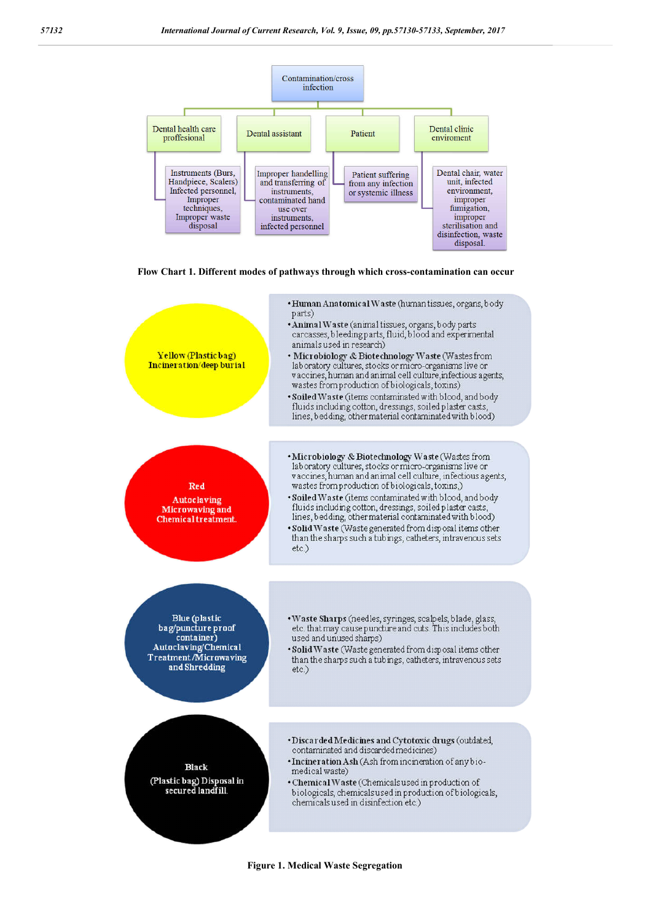





**Figure 1. Medical Waste Segregation**